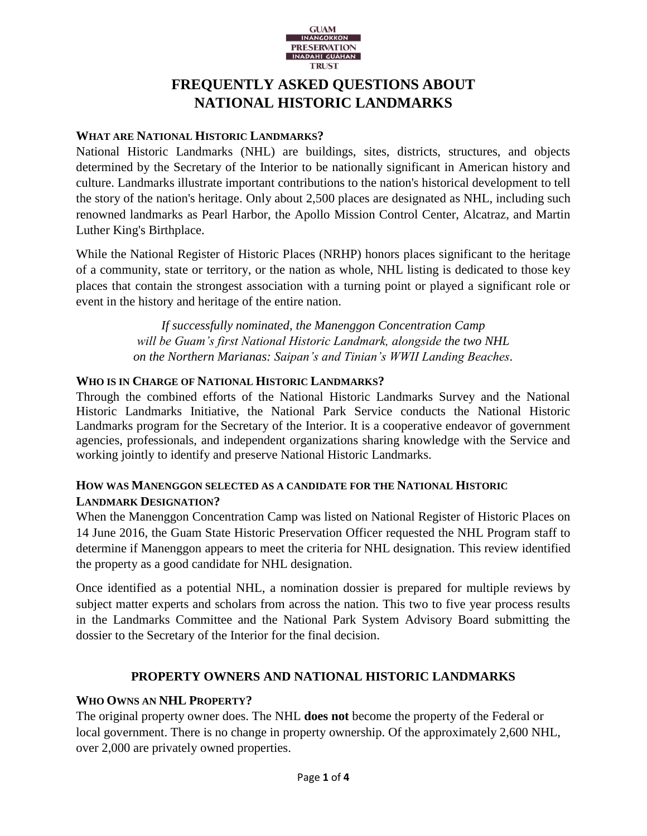

# **FREQUENTLY ASKED QUESTIONS ABOUT NATIONAL HISTORIC LANDMARKS**

# **WHAT ARE NATIONAL HISTORIC LANDMARKS?**

National Historic Landmarks (NHL) are buildings, sites, districts, structures, and objects determined by the Secretary of the Interior to be nationally significant in American history and culture. Landmarks illustrate important contributions to the nation's historical development to tell the story of the nation's heritage. Only about 2,500 places are designated as NHL, including such renowned landmarks as Pearl Harbor, the Apollo Mission Control Center, Alcatraz, and Martin Luther King's Birthplace.

While the National Register of Historic Places (NRHP) honors places significant to the heritage of a community, state or territory, or the nation as whole, NHL listing is dedicated to those key places that contain the strongest association with a turning point or played a significant role or event in the history and heritage of the entire nation.

> *If successfully nominated, the Manenggon Concentration Camp will be Guam's first National Historic Landmark, alongside the two NHL on the Northern Marianas: Saipan's and Tinian's WWII Landing Beaches.*

## **WHO IS IN CHARGE OF NATIONAL HISTORIC LANDMARKS?**

Through the combined efforts of the National Historic Landmarks Survey and the National Historic Landmarks Initiative, the National Park Service conducts the National Historic Landmarks program for the Secretary of the Interior. It is a cooperative endeavor of government agencies, professionals, and independent organizations sharing knowledge with the Service and working jointly to identify and preserve National Historic Landmarks.

# **HOW WAS MANENGGON SELECTED AS A CANDIDATE FOR THE NATIONAL HISTORIC LANDMARK DESIGNATION?**

When the Manenggon Concentration Camp was listed on National Register of Historic Places on 14 June 2016, the Guam State Historic Preservation Officer requested the NHL Program staff to determine if Manenggon appears to meet the criteria for NHL designation. This review identified the property as a good candidate for NHL designation.

Once identified as a potential NHL, a nomination dossier is prepared for multiple reviews by subject matter experts and scholars from across the nation. This two to five year process results in the Landmarks Committee and the National Park System Advisory Board submitting the dossier to the Secretary of the Interior for the final decision.

# **PROPERTY OWNERS AND NATIONAL HISTORIC LANDMARKS**

# **WHO OWNS AN NHL PROPERTY?**

The original property owner does. The NHL **does not** become the property of the Federal or local government. There is no change in property ownership. Of the approximately 2,600 NHL, over 2,000 are privately owned properties.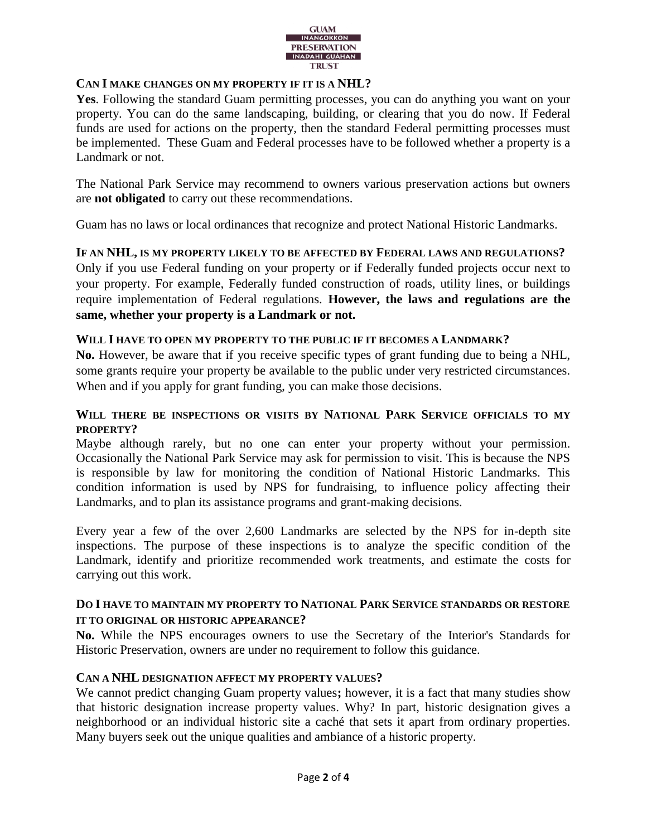

## **CAN I MAKE CHANGES ON MY PROPERTY IF IT IS A NHL?**

**Yes**. Following the standard Guam permitting processes, you can do anything you want on your property. You can do the same landscaping, building, or clearing that you do now. If Federal funds are used for actions on the property, then the standard Federal permitting processes must be implemented. These Guam and Federal processes have to be followed whether a property is a Landmark or not.

The National Park Service may recommend to owners various preservation actions but owners are **not obligated** to carry out these recommendations.

Guam has no laws or local ordinances that recognize and protect National Historic Landmarks.

### **IF AN NHL, IS MY PROPERTY LIKELY TO BE AFFECTED BY FEDERAL LAWS AND REGULATIONS?**

Only if you use Federal funding on your property or if Federally funded projects occur next to your property. For example, Federally funded construction of roads, utility lines, or buildings require implementation of Federal regulations. **However, the laws and regulations are the same, whether your property is a Landmark or not.**

### **WILL I HAVE TO OPEN MY PROPERTY TO THE PUBLIC IF IT BECOMES A LANDMARK?**

**No.** However, be aware that if you receive specific types of grant funding due to being a NHL, some grants require your property be available to the public under very restricted circumstances. When and if you apply for grant funding, you can make those decisions.

## **WILL THERE BE INSPECTIONS OR VISITS BY NATIONAL PARK SERVICE OFFICIALS TO MY PROPERTY?**

Maybe although rarely, but no one can enter your property without your permission. Occasionally the National Park Service may ask for permission to visit. This is because the NPS is responsible by law for monitoring the condition of National Historic Landmarks. This condition information is used by NPS for fundraising, to influence policy affecting their Landmarks, and to plan its assistance programs and grant-making decisions.

Every year a few of the over 2,600 Landmarks are selected by the NPS for in-depth site inspections. The purpose of these inspections is to analyze the specific condition of the Landmark, identify and prioritize recommended work treatments, and estimate the costs for carrying out this work.

## **DO I HAVE TO MAINTAIN MY PROPERTY TO NATIONAL PARK SERVICE STANDARDS OR RESTORE IT TO ORIGINAL OR HISTORIC APPEARANCE?**

**No.** While the NPS encourages owners to use the Secretary of the Interior's Standards for Historic Preservation, owners are under no requirement to follow this guidance.

# **CAN A NHL DESIGNATION AFFECT MY PROPERTY VALUES?**

We cannot predict changing Guam property values**;** however, it is a fact that many studies show that historic designation increase property values. Why? In part, historic designation gives a neighborhood or an individual historic site a caché that sets it apart from ordinary properties. Many buyers seek out the unique qualities and ambiance of a historic property.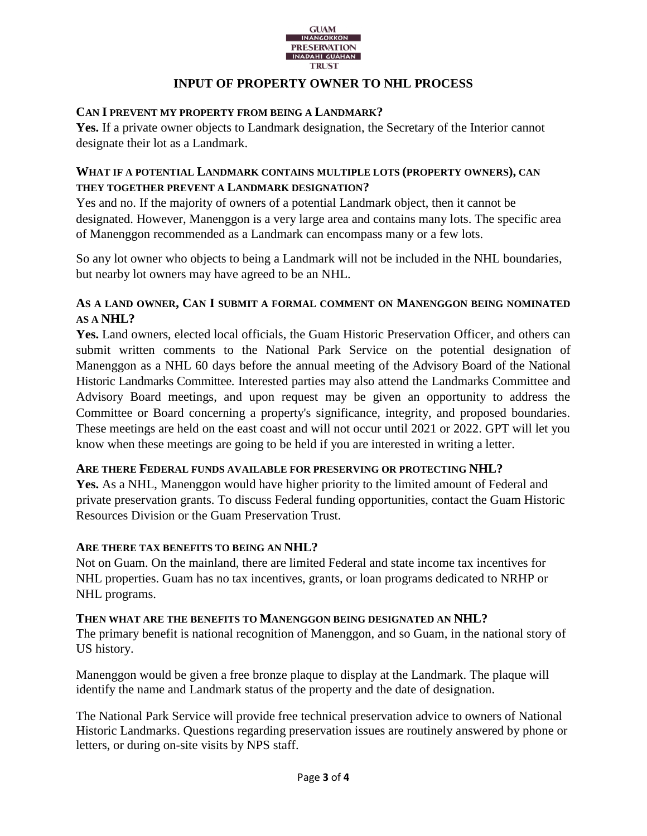

## **INPUT OF PROPERTY OWNER TO NHL PROCESS**

### **CAN I PREVENT MY PROPERTY FROM BEING A LANDMARK?**

**Yes.** If a private owner objects to Landmark designation, the Secretary of the Interior cannot designate their lot as a Landmark.

## **WHAT IF A POTENTIAL LANDMARK CONTAINS MULTIPLE LOTS (PROPERTY OWNERS), CAN THEY TOGETHER PREVENT A LANDMARK DESIGNATION?**

Yes and no. If the majority of owners of a potential Landmark object, then it cannot be designated. However, Manenggon is a very large area and contains many lots. The specific area of Manenggon recommended as a Landmark can encompass many or a few lots.

So any lot owner who objects to being a Landmark will not be included in the NHL boundaries, but nearby lot owners may have agreed to be an NHL.

# **AS A LAND OWNER, CAN I SUBMIT A FORMAL COMMENT ON MANENGGON BEING NOMINATED AS A NHL?**

**Yes.** Land owners, elected local officials, the Guam Historic Preservation Officer, and others can submit written comments to the National Park Service on the potential designation of Manenggon as a NHL 60 days before the annual meeting of the [Advisory Board of the National](https://www.nps.gov/subjects/nationalhistoriclandmarks/landmarks-committee.htm)  [Historic Landmarks Committee.](https://www.nps.gov/subjects/nationalhistoriclandmarks/landmarks-committee.htm) Interested parties may also attend the Landmarks Committee and Advisory Board meetings, and upon request may be given an opportunity to address the Committee or Board concerning a property's significance, integrity, and proposed boundaries. These meetings are held on the east coast and will not occur until 2021 or 2022. GPT will let you know when these meetings are going to be held if you are interested in writing a letter.

### **ARE THERE FEDERAL FUNDS AVAILABLE FOR PRESERVING OR PROTECTING NHL?**

**Yes.** As a NHL, Manenggon would have higher priority to the limited amount of Federal and private preservation grants. To discuss Federal funding opportunities, contact the Guam Historic Resources Division or the Guam Preservation Trust.

### **ARE THERE TAX BENEFITS TO BEING AN NHL?**

Not on Guam. On the mainland, there are limited Federal and state income tax incentives for NHL properties. Guam has no tax incentives, grants, or loan programs dedicated to NRHP or NHL programs.

### **THEN WHAT ARE THE BENEFITS TO MANENGGON BEING DESIGNATED AN NHL?**

The primary benefit is national recognition of Manenggon, and so Guam, in the national story of US history.

Manenggon would be given a free bronze plaque to display at the Landmark. The plaque will identify the name and Landmark status of the property and the date of designation.

The National Park Service will provide free technical preservation advice to owners of National Historic Landmarks. Questions regarding preservation issues are routinely answered by phone or letters, or during on-site visits by NPS staff.